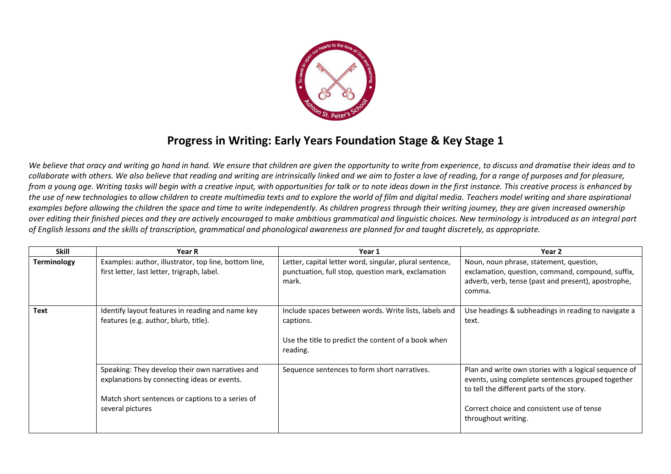

## **Progress in Writing: Early Years Foundation Stage & Key Stage 1**

*We believe that oracy and writing go hand in hand. We ensure that children are given the opportunity to write from experience, to discuss and dramatise their ideas and to collaborate with others. We also believe that reading and writing are intrinsically linked and we aim to foster a love of reading, for a range of purposes and for pleasure, from a young age. Writing tasks will begin with a creative input, with opportunities for talk or to note ideas down in the first instance. This creative process is enhanced by the use of new technologies to allow children to create multimedia texts and to explore the world of film and digital media. Teachers model writing and share aspirational examples before allowing the children the space and time to write independently. As children progress through their writing journey, they are given increased ownership over editing their finished pieces and they are actively encouraged to make ambitious grammatical and linguistic choices. New terminology is introduced as an integral part of English lessons and the skills of transcription, grammatical and phonological awareness are planned for and taught discretely, as appropriate.* 

| <b>Skill</b> | <b>Year R</b>                                                                                                                                                          | Year 1                                                                                                                                | Year 2                                                                                                                                                                                                                       |
|--------------|------------------------------------------------------------------------------------------------------------------------------------------------------------------------|---------------------------------------------------------------------------------------------------------------------------------------|------------------------------------------------------------------------------------------------------------------------------------------------------------------------------------------------------------------------------|
| Terminology  | Examples: author, illustrator, top line, bottom line,<br>first letter, last letter, trigraph, label.                                                                   | Letter, capital letter word, singular, plural sentence,<br>punctuation, full stop, question mark, exclamation<br>mark.                | Noun, noun phrase, statement, question,<br>exclamation, question, command, compound, suffix,<br>adverb, verb, tense (past and present), apostrophe,<br>comma.                                                                |
| Text         | Identify layout features in reading and name key<br>features (e.g. author, blurb, title).                                                                              | Include spaces between words. Write lists, labels and<br>captions.<br>Use the title to predict the content of a book when<br>reading. | Use headings & subheadings in reading to navigate a<br>text.                                                                                                                                                                 |
|              | Speaking: They develop their own narratives and<br>explanations by connecting ideas or events.<br>Match short sentences or captions to a series of<br>several pictures | Sequence sentences to form short narratives.                                                                                          | Plan and write own stories with a logical sequence of<br>events, using complete sentences grouped together<br>to tell the different parts of the story.<br>Correct choice and consistent use of tense<br>throughout writing. |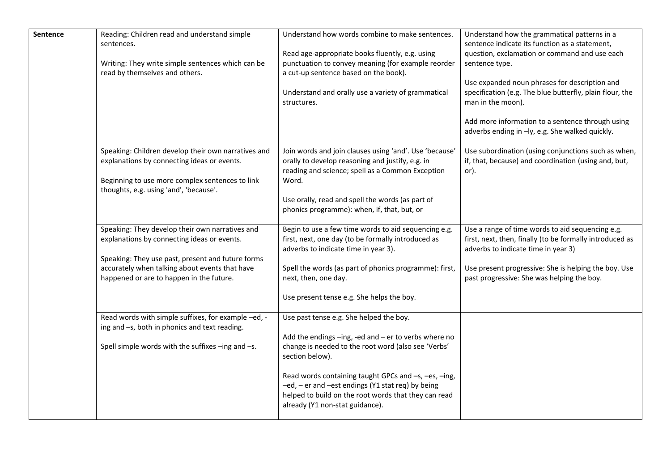| Sentence | Reading: Children read and understand simple<br>sentences.<br>Writing: They write simple sentences which can be<br>read by themselves and others.                                                                                                 | Understand how words combine to make sentences.<br>Read age-appropriate books fluently, e.g. using<br>punctuation to convey meaning (for example reorder<br>a cut-up sentence based on the book).<br>Understand and orally use a variety of grammatical<br>structures.                                                                                                            | Understand how the grammatical patterns in a<br>sentence indicate its function as a statement,<br>question, exclamation or command and use each<br>sentence type.<br>Use expanded noun phrases for description and<br>specification (e.g. The blue butterfly, plain flour, the<br>man in the moon).<br>Add more information to a sentence through using<br>adverbs ending in -ly, e.g. She walked quickly. |
|----------|---------------------------------------------------------------------------------------------------------------------------------------------------------------------------------------------------------------------------------------------------|-----------------------------------------------------------------------------------------------------------------------------------------------------------------------------------------------------------------------------------------------------------------------------------------------------------------------------------------------------------------------------------|------------------------------------------------------------------------------------------------------------------------------------------------------------------------------------------------------------------------------------------------------------------------------------------------------------------------------------------------------------------------------------------------------------|
|          | Speaking: Children develop their own narratives and<br>explanations by connecting ideas or events.<br>Beginning to use more complex sentences to link<br>thoughts, e.g. using 'and', 'because'.                                                   | Join words and join clauses using 'and'. Use 'because'<br>orally to develop reasoning and justify, e.g. in<br>reading and science; spell as a Common Exception<br>Word.<br>Use orally, read and spell the words (as part of<br>phonics programme): when, if, that, but, or                                                                                                        | Use subordination (using conjunctions such as when,<br>if, that, because) and coordination (using and, but,<br>or).                                                                                                                                                                                                                                                                                        |
|          | Speaking: They develop their own narratives and<br>explanations by connecting ideas or events.<br>Speaking: They use past, present and future forms<br>accurately when talking about events that have<br>happened or are to happen in the future. | Begin to use a few time words to aid sequencing e.g.<br>first, next, one day (to be formally introduced as<br>adverbs to indicate time in year 3).<br>Spell the words (as part of phonics programme): first,<br>next, then, one day.<br>Use present tense e.g. She helps the boy.                                                                                                 | Use a range of time words to aid sequencing e.g.<br>first, next, then, finally (to be formally introduced as<br>adverbs to indicate time in year 3)<br>Use present progressive: She is helping the boy. Use<br>past progressive: She was helping the boy.                                                                                                                                                  |
|          | Read words with simple suffixes, for example -ed, -<br>ing and -s, both in phonics and text reading.<br>Spell simple words with the suffixes -ing and -s.                                                                                         | Use past tense e.g. She helped the boy.<br>Add the endings -ing, -ed and - er to verbs where no<br>change is needed to the root word (also see 'Verbs'<br>section below).<br>Read words containing taught GPCs and -s, -es, -ing,<br>-ed, - er and -est endings (Y1 stat req) by being<br>helped to build on the root words that they can read<br>already (Y1 non-stat guidance). |                                                                                                                                                                                                                                                                                                                                                                                                            |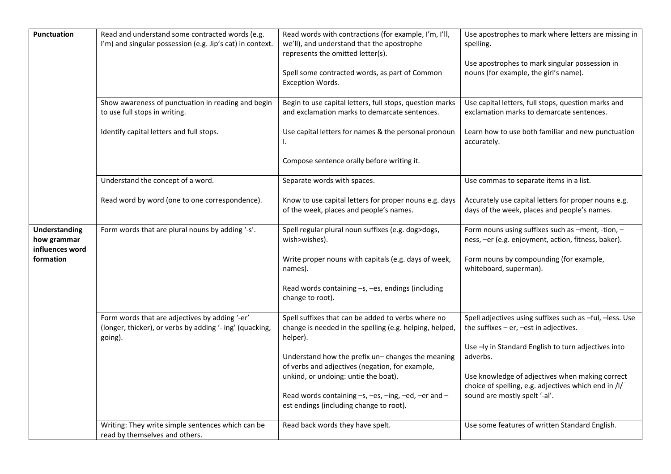| <b>Punctuation</b>                                                  | Read and understand some contracted words (e.g.<br>I'm) and singular possession (e.g. Jip's cat) in context.<br>Show awareness of punctuation in reading and begin<br>to use full stops in writing. | Read words with contractions (for example, I'm, I'll,<br>we'll), and understand that the apostrophe<br>represents the omitted letter(s).<br>Spell some contracted words, as part of Common<br>Exception Words.<br>Begin to use capital letters, full stops, question marks<br>and exclamation marks to demarcate sentences.                                                 | Use apostrophes to mark where letters are missing in<br>spelling.<br>Use apostrophes to mark singular possession in<br>nouns (for example, the girl's name).<br>Use capital letters, full stops, question marks and<br>exclamation marks to demarcate sentences.                                                        |
|---------------------------------------------------------------------|-----------------------------------------------------------------------------------------------------------------------------------------------------------------------------------------------------|-----------------------------------------------------------------------------------------------------------------------------------------------------------------------------------------------------------------------------------------------------------------------------------------------------------------------------------------------------------------------------|-------------------------------------------------------------------------------------------------------------------------------------------------------------------------------------------------------------------------------------------------------------------------------------------------------------------------|
|                                                                     | Identify capital letters and full stops.                                                                                                                                                            | Use capital letters for names & the personal pronoun<br>I.<br>Compose sentence orally before writing it.                                                                                                                                                                                                                                                                    | Learn how to use both familiar and new punctuation<br>accurately.                                                                                                                                                                                                                                                       |
|                                                                     | Understand the concept of a word.<br>Read word by word (one to one correspondence).                                                                                                                 | Separate words with spaces.<br>Know to use capital letters for proper nouns e.g. days<br>of the week, places and people's names.                                                                                                                                                                                                                                            | Use commas to separate items in a list.<br>Accurately use capital letters for proper nouns e.g.<br>days of the week, places and people's names.                                                                                                                                                                         |
| <b>Understanding</b><br>how grammar<br>influences word<br>formation | Form words that are plural nouns by adding '-s'.                                                                                                                                                    | Spell regular plural noun suffixes (e.g. dog>dogs,<br>wish>wishes).<br>Write proper nouns with capitals (e.g. days of week,<br>names).<br>Read words containing -s, -es, endings (including<br>change to root).                                                                                                                                                             | Form nouns using suffixes such as -ment, -tion, -<br>ness, -er (e.g. enjoyment, action, fitness, baker).<br>Form nouns by compounding (for example,<br>whiteboard, superman).                                                                                                                                           |
|                                                                     | Form words that are adjectives by adding '-er'<br>(longer, thicker), or verbs by adding '- ing' (quacking,<br>going).                                                                               | Spell suffixes that can be added to verbs where no<br>change is needed in the spelling (e.g. helping, helped,<br>helper).<br>Understand how the prefix un- changes the meaning<br>of verbs and adjectives (negation, for example,<br>unkind, or undoing: untie the boat).<br>Read words containing -s, -es, -ing, -ed, -er and -<br>est endings (including change to root). | Spell adjectives using suffixes such as -ful, -less. Use<br>the suffixes $-$ er, $-$ est in adjectives.<br>Use - ly in Standard English to turn adjectives into<br>adverbs.<br>Use knowledge of adjectives when making correct<br>choice of spelling, e.g. adjectives which end in /l/<br>sound are mostly spelt '-al'. |
|                                                                     | Writing: They write simple sentences which can be<br>read by themselves and others.                                                                                                                 | Read back words they have spelt.                                                                                                                                                                                                                                                                                                                                            | Use some features of written Standard English.                                                                                                                                                                                                                                                                          |